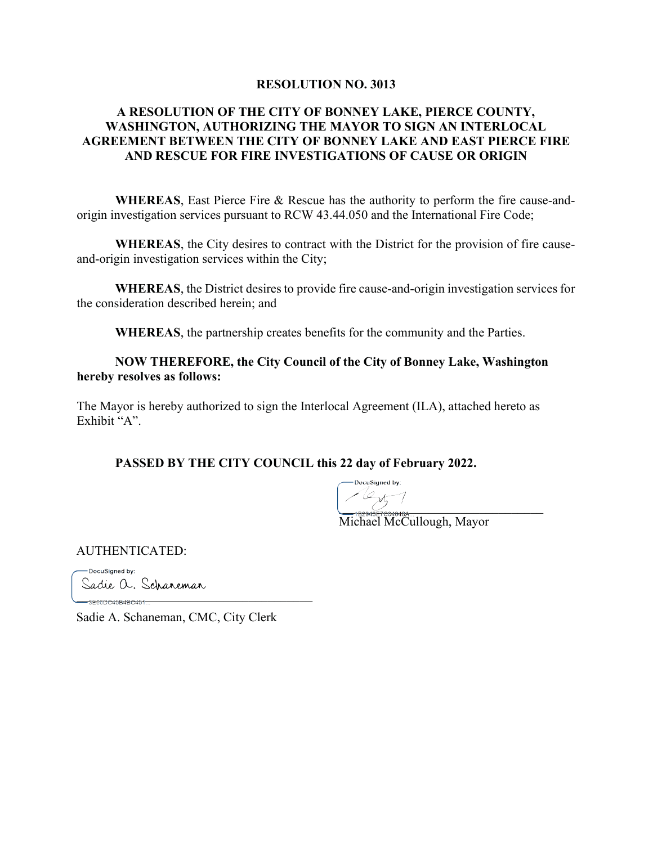#### RESOLUTION NO. 3013

# A RESOLUTION OF THE CITY OF BONNEY LAKE, PIERCE COUNTY, WASHINGTON, AUTHORIZING THE MAYOR TO SIGN A**1** INTERLOCAL AGREEMENT BETWEEN THE CITY OF BONNEY LAKE AND EAST PIERCE FIRE AND RESCUE FOR FIRE INVESTIGATIONS OF CAUSE OR ORIGIN

WHEREAS, East Pierce Fire & Rescue has the authority to perform the fire cause-andorigin investigation services pursuant to RCW 43.44.050 and the International Fire Code;

WHEREAS, the City desires to contract with the District for the provision of fire causeand-origin investigation services within the City;

WHEREAS, the District desires to provide fire cause-and-origin investigation services for the consideration described herein; and

WHEREAS, the partnership creates benefits for the community and the Parties.

### NOW THEREFORE, the City Council of the City of Bonney Lake, Washington hereby resolves as follows:

The Mayor is hereby authorized to sign the Interlocal Agreement (ILA), attached hereto as Exhibit "A".

PASSED BY THE CITY COUNCIL this 22 day of February 2022.

 $\overline{\phantom{a}}$ 

Michael McCullough, Mayor

AUTHENTICATED:

BBBBBBBBBBBBBBBBBBBBBBBBBBBBBBBBBBBBB

-DocuSianed by: Sadie a. Schaneman

Sadie A. Schaneman, CMC, City Clerk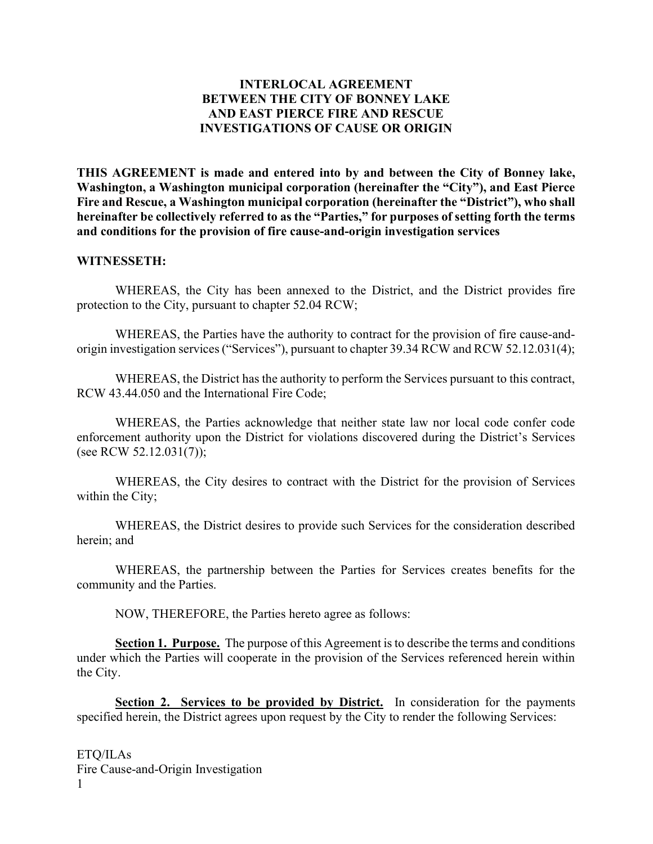## INTERLOCAL AGREEMENT BETWEEN THE CITY OF BONNEY LAKE AND EAST PIERCE FIRE AND RESCUE INVESTIGATIONS OF CAUSE OR ORIGIN

THIS AGREEMENT is made and entered into by and between the City of Bonney lake, Washington, a Washington municipal corporation (hereinafter the "City"), and East Pierce Fire and Rescue, a Washington municipal corporation (hereinafter the "District"), who shall hereinafter be collectively referred to as the "Parties," for purposes of setting forth the terms and conditions for the provision of fire cause-and-origin investigation services

#### WITNESSETH:

WHEREAS, the City has been annexed to the District, and the District provides fire protection to the City, pursuant to chapter 52.04 RCW;

WHEREAS, the Parties have the authority to contract for the provision of fire cause-andorigin investigation services ("Services"), pursuant to chapter 39.34 RCW and RCW 52.12.031(4);

WHEREAS, the District has the authority to perform the Services pursuant to this contract, RCW 43.44.050 and the International Fire Code;

WHEREAS, the Parties acknowledge that neither state law nor local code confer code enforcement authority upon the District for violations discovered during the District's Services (see RCW 52.12.031(7));

WHEREAS, the City desires to contract with the District for the provision of Services within the City;

WHEREAS, the District desires to provide such Services for the consideration described herein; and

WHEREAS, the partnership between the Parties for Services creates benefits for the community and the Parties.

NOW, THEREFORE, the Parties hereto agree as follows:

Section 1. Purpose. The purpose of this Agreement is to describe the terms and conditions under which the Parties will cooperate in the provision of the Services referenced herein within the City.

Section 2. Services to be provided by District. In consideration for the payments specified herein, the District agrees upon request by the City to render the following Services: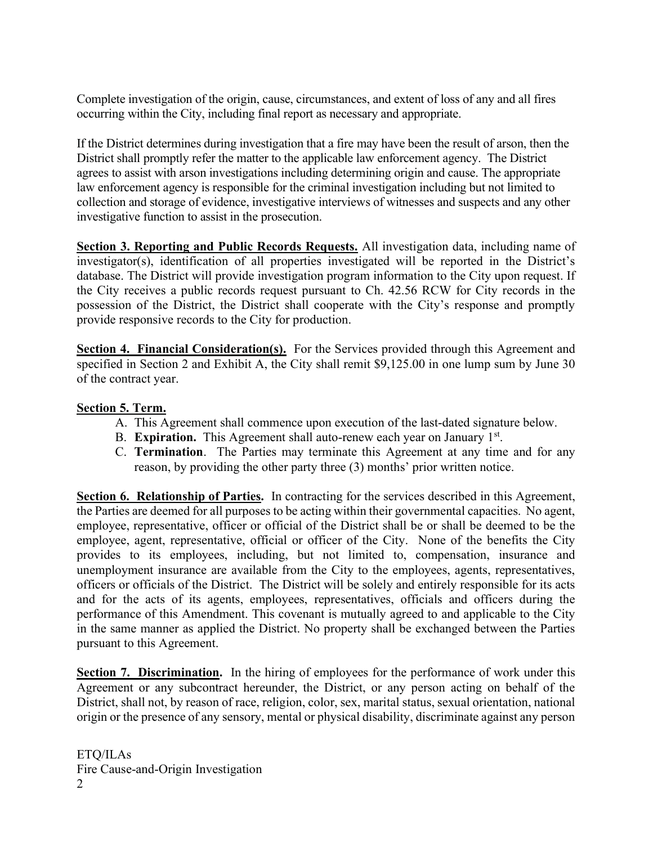Complete investigation of the origin, cause, circumstances, and extent of loss of any and all fires occurring within the City, including final report as necessary and appropriate.

If the District determines during investigation that a fire may have been the result of arson, then the District shall promptly refer the matter to the applicable law enforcement agency. The District agrees to assist with arson investigations including determining origin and cause. The appropriate law enforcement agency is responsible for the criminal investigation including but not limited to collection and storage of evidence, investigative interviews of witnesses and suspects and any other investigative function to assist in the prosecution.

Section 3. Reporting and Public Records Requests. All investigation data, including name of investigator(s), identification of all properties investigated will be reported in the District's database. The District will provide investigation program information to the City upon request. If the City receives a public records request pursuant to Ch. 42.56 RCW for City records in the possession of the District, the District shall cooperate with the City's response and promptly provide responsive records to the City for production.

Section 4. Financial Consideration(s). For the Services provided through this Agreement and specified in Section 2 and Exhibit A, the City shall remit \$9,125.00 in one lump sum by June 30 of the contract year.

# Section 5. Term.

- A. This Agreement shall commence upon execution of the last-dated signature below.
- B. Expiration. This Agreement shall auto-renew each year on January  $1<sup>st</sup>$ .
- C. Termination. The Parties may terminate this Agreement at any time and for any reason, by providing the other party three (3) months' prior written notice.

Section 6. Relationship of Parties. In contracting for the services described in this Agreement, the Parties are deemed for all purposes to be acting within their governmental capacities. No agent, employee, representative, officer or official of the District shall be or shall be deemed to be the employee, agent, representative, official or officer of the City. None of the benefits the City provides to its employees, including, but not limited to, compensation, insurance and unemployment insurance are available from the City to the employees, agents, representatives, officers or officials of the District. The District will be solely and entirely responsible for its acts and for the acts of its agents, employees, representatives, officials and officers during the performance of this Amendment. This covenant is mutually agreed to and applicable to the City in the same manner as applied the District. No property shall be exchanged between the Parties pursuant to this Agreement.

Section 7. Discrimination. In the hiring of employees for the performance of work under this Agreement or any subcontract hereunder, the District, or any person acting on behalf of the District, shall not, by reason of race, religion, color, sex, marital status, sexual orientation, national origin or the presence of any sensory, mental or physical disability, discriminate against any person

ETQ/ILAs Fire Cause-and-Origin Investigation 2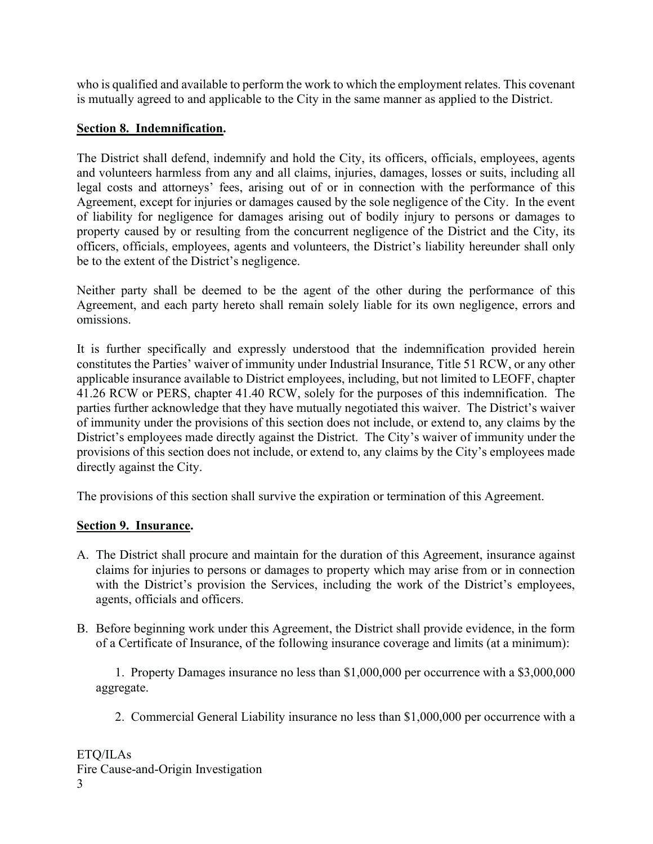who is qualified and available to perform the work to which the employment relates. This covenant is mutually agreed to and applicable to the City in the same manner as applied to the District.

# Section 8. Indemnification.

The District shall defend, indemnify and hold the City, its officers, officials, employees, agents and volunteers harmless from any and all claims, injuries, damages, losses or suits, including all legal costs and attorneys' fees, arising out of or in connection with the performance of this Agreement, except for injuries or damages caused by the sole negligence of the City. In the event of liability for negligence for damages arising out of bodily injury to persons or damages to property caused by or resulting from the concurrent negligence of the District and the City, its officers, officials, employees, agents and volunteers, the District's liability hereunder shall only be to the extent of the District's negligence.

Neither party shall be deemed to be the agent of the other during the performance of this Agreement, and each party hereto shall remain solely liable for its own negligence, errors and omissions.

It is further specifically and expressly understood that the indemnification provided herein constitutes the Parties' waiver of immunity under Industrial Insurance, Title 51 RCW, or any other applicable insurance available to District employees, including, but not limited to LEOFF, chapter 41.26 RCW or PERS, chapter 41.40 RCW, solely for the purposes of this indemnification. The parties further acknowledge that they have mutually negotiated this waiver. The District's waiver of immunity under the provisions of this section does not include, or extend to, any claims by the District's employees made directly against the District. The City's waiver of immunity under the provisions of this section does not include, or extend to, any claims by the City's employees made directly against the City.

The provisions of this section shall survive the expiration or termination of this Agreement.

# Section 9. Insurance.

- A. The District shall procure and maintain for the duration of this Agreement, insurance against claims for injuries to persons or damages to property which may arise from or in connection with the District's provision the Services, including the work of the District's employees, agents, officials and officers.
- B. Before beginning work under this Agreement, the District shall provide evidence, in the form of a Certificate of Insurance, of the following insurance coverage and limits (at a minimum):

1. Property Damages insurance no less than \$1,000,000 per occurrence with a \$3,000,000 aggregate.

2. Commercial General Liability insurance no less than \$1,000,000 per occurrence with a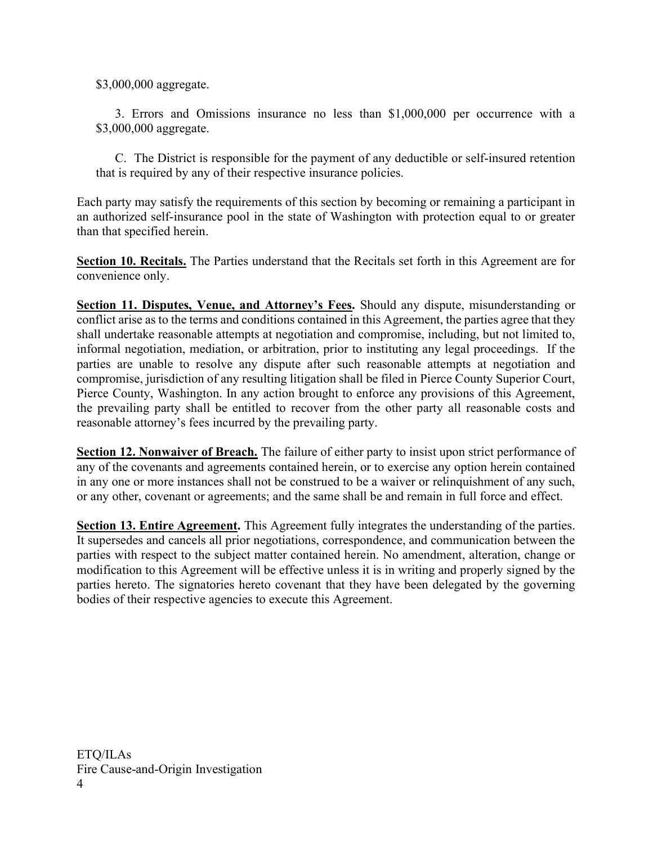\$3,000,000 aggregate.

3. Errors and Omissions insurance no less than \$1,000,000 per occurrence with a \$3,000,000 aggregate.

 C. The District is responsible for the payment of any deductible or self-insured retention that is required by any of their respective insurance policies.

Each party may satisfy the requirements of this section by becoming or remaining a participant in an authorized self-insurance pool in the state of Washington with protection equal to or greater than that specified herein.

Section 10. Recitals. The Parties understand that the Recitals set forth in this Agreement are for convenience only.

Section 11. Disputes, Venue, and Attorney's Fees. Should any dispute, misunderstanding or conflict arise as to the terms and conditions contained in this Agreement, the parties agree that they shall undertake reasonable attempts at negotiation and compromise, including, but not limited to, informal negotiation, mediation, or arbitration, prior to instituting any legal proceedings. If the parties are unable to resolve any dispute after such reasonable attempts at negotiation and compromise, jurisdiction of any resulting litigation shall be filed in Pierce County Superior Court, Pierce County, Washington. In any action brought to enforce any provisions of this Agreement, the prevailing party shall be entitled to recover from the other party all reasonable costs and reasonable attorney's fees incurred by the prevailing party.

Section 12. Nonwaiver of Breach. The failure of either party to insist upon strict performance of any of the covenants and agreements contained herein, or to exercise any option herein contained in any one or more instances shall not be construed to be a waiver or relinquishment of any such, or any other, covenant or agreements; and the same shall be and remain in full force and effect.

Section 13. Entire Agreement. This Agreement fully integrates the understanding of the parties. It supersedes and cancels all prior negotiations, correspondence, and communication between the parties with respect to the subject matter contained herein. No amendment, alteration, change or modification to this Agreement will be effective unless it is in writing and properly signed by the parties hereto. The signatories hereto covenant that they have been delegated by the governing bodies of their respective agencies to execute this Agreement.